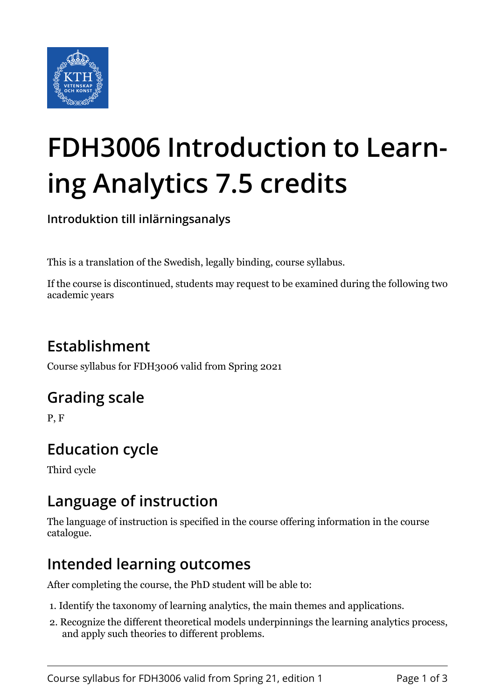

# **FDH3006 Introduction to Learning Analytics 7.5 credits**

**Introduktion till inlärningsanalys**

This is a translation of the Swedish, legally binding, course syllabus.

If the course is discontinued, students may request to be examined during the following two academic years

## **Establishment**

Course syllabus for FDH3006 valid from Spring 2021

## **Grading scale**

P, F

## **Education cycle**

Third cycle

#### **Language of instruction**

The language of instruction is specified in the course offering information in the course catalogue.

#### **Intended learning outcomes**

After completing the course, the PhD student will be able to:

- 1. Identify the taxonomy of learning analytics, the main themes and applications.
- 2. Recognize the different theoretical models underpinnings the learning analytics process, and apply such theories to different problems.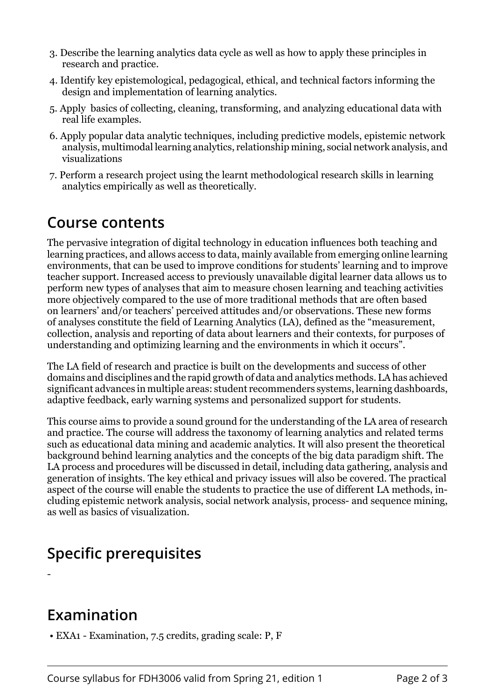- 3. Describe the learning analytics data cycle as well as how to apply these principles in research and practice.
- 4. Identify key epistemological, pedagogical, ethical, and technical factors informing the design and implementation of learning analytics.
- 5. Apply basics of collecting, cleaning, transforming, and analyzing educational data with real life examples.
- 6. Apply popular data analytic techniques, including predictive models, epistemic network analysis, multimodal learning analytics, relationship mining, social network analysis, and visualizations
- 7. Perform a research project using the learnt methodological research skills in learning analytics empirically as well as theoretically.

#### **Course contents**

The pervasive integration of digital technology in education influences both teaching and learning practices, and allows access to data, mainly available from emerging online learning environments, that can be used to improve conditions for students' learning and to improve teacher support. Increased access to previously unavailable digital learner data allows us to perform new types of analyses that aim to measure chosen learning and teaching activities more objectively compared to the use of more traditional methods that are often based on learners' and/or teachers' perceived attitudes and/or observations. These new forms of analyses constitute the field of Learning Analytics (LA), defined as the "measurement, collection, analysis and reporting of data about learners and their contexts, for purposes of understanding and optimizing learning and the environments in which it occurs".

The LA field of research and practice is built on the developments and success of other domains and disciplines and the rapid growth of data and analytics methods. LA has achieved significant advances in multiple areas: student recommenders systems, learning dashboards, adaptive feedback, early warning systems and personalized support for students.

This course aims to provide a sound ground for the understanding of the LA area of research and practice. The course will address the taxonomy of learning analytics and related terms such as educational data mining and academic analytics. It will also present the theoretical background behind learning analytics and the concepts of the big data paradigm shift. The LA process and procedures will be discussed in detail, including data gathering, analysis and generation of insights. The key ethical and privacy issues will also be covered. The practical aspect of the course will enable the students to practice the use of different LA methods, including epistemic network analysis, social network analysis, process- and sequence mining, as well as basics of visualization.

## **Specific prerequisites**

-

# **Examination**

• EXA1 - Examination, 7.5 credits, grading scale: P, F